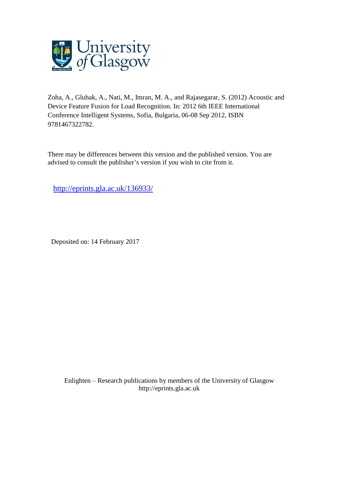

Zoha, A., Gluhak, A., Nati, M., Imran, M. A., and Rajasegarar, S. (2012) Acoustic and Device Feature Fusion for Load Recognition. In: 2012 6th IEEE International Conference Intelligent Systems, Sofia, Bulgaria, 06-08 Sep 2012, ISBN 9781467322782.

There may be differences between this version and the published version. You are advised to consult the publisher's version if you wish to cite from it.

[http://eprints.gla.ac.uk/136933/](http://eprints.gla.ac.uk/136932/)

Deposited on: 14 February 2017

Enlighten – Research publications by members of the University of Glasgo[w](http://eprints.gla.ac.uk/) [http://eprints.gla.ac.uk](http://eprints.gla.ac.uk/)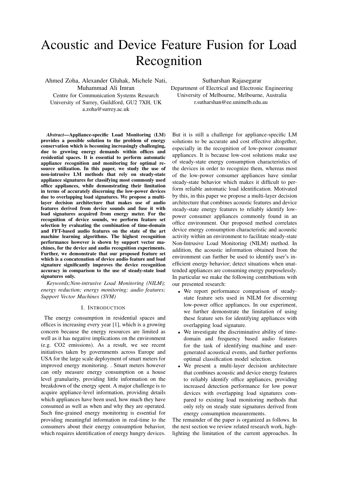# Acoustic and Device Feature Fusion for Load Recognition

Ahmed Zoha, Alexander Gluhak, Michele Nati, Muhammad Ali Imran Centre for Communication Systems Research University of Surrey, Guildford, GU2 7XH, UK a.zoha@surrey.ac.uk

*Abstract*—Appliance-specific Load Monitoring (LM) provides a possible solution to the problem of energy conservation which is becoming increasingly challenging, due to growing energy demands within offices and residential spaces. It is essential to perform automatic appliance recognition and monitoring for optimal resource utilization. In this paper, we study the use of non-intrusive LM methods that rely on steady-state appliance signatures for classifying most commonly used office appliances, while demonstrating their limitation in terms of accurately discerning the low-power devices due to overlapping load signatures. We propose a multilayer decision architecture that makes use of audio features derived from device sounds and fuse it with load signatures acquired from energy meter. For the recognition of device sounds, we perform feature set selection by evaluating the combination of time-domain and FFT-based audio features on the state of the art machine learning algorithms. The highest recognition performance however is shown by support vector machines, for the device and audio recognition experiments. Further, we demonstrate that our proposed feature set which is a concatenation of device audio feature and load signature significantly improves the device recognition accuracy in comparison to the use of steady-state load signatures only.

*Keywords;Non-intrusive Load Monitoring (NILM); energy reduction; energy monitoring; audio features; Support Vector Machines (SVM)*

## I. INTRODUCTION

The energy consumption in residential spaces and offices is increasing every year [1], which is a growing concern because the energy resources are limited as well as it has negative implications on the environment (e.g. CO2 emissions). As a result, we see recent initiatives taken by governments across Europe and USA for the large scale deployment of smart meters for improved energy monitoring. . Smart meters however can only measure energy consumption on a house level granularity, providing little information on the breakdown of the energy spent. A major challenge is to acquire appliance-level information, providing details which appliances have been used, how much they have consumed as well as when and why they are operated. Such fine-grained energy monitoring is essential for providing meaningful information in real-time to the consumers about their energy consumption behavior, which requires identification of energy hungry devices.

Sutharshan Rajasegarar

Department of Electrical and Electronic Engineering University of Melbourne, Melbourne, Australia r.sutharshan@ee.unimelb.edu.au

But it is still a challenge for appliance-specific LM solutions to be accurate and cost effective altogether, especially in the recognition of low-power consumer appliances. It is because low-cost solutions make use of steady-state energy consumption characteristics of the devices in order to recognize them, whereas most of the low-power consumer appliances have similar steady-state behavior which makes it difficult to perform reliable automatic load identification. Motivated by this, in this paper we propose a multi-layer decision architecture that combines acoustic features and device steady-state energy features to reliably identify lowpower consumer appliances commonly found in an office environment. Our proposed method correlates device energy consumption characteristic and acoustic activity within an environment to facilitate steady-state Non-Intrusive Load Monitoring (NILM) method. In addition, the acoustic information obtained from the environment can further be used to identify user's inefficient energy behavior; detect situations when unattended appliances are consuming energy purposelessly. In particular we make the following contributions with our presented research:

- We report performance comparison of steadystate feature sets used in NILM for discerning low-power office appliances. In our experiment, we further demonstrate the limitation of using these feature sets for identifying appliances with overlapping load signature.
- We investigate the discriminative ability of timedomain and frequency based audio features for the task of identifying machine and usergenerated acoustical events, and further performs optimal classification model selection.
- We present a multi-layer decision architecture that combines acoustic and device energy features to reliably identify office appliances, providing increased detection performance for low power devices with overlapping load signatures compared to existing load monitoring methods that only rely on steady state signatures derived from energy consumption measurements.

The remainder of the paper is organized as follows. In the next section we review related research work, highlighting the limitation of the current approaches. In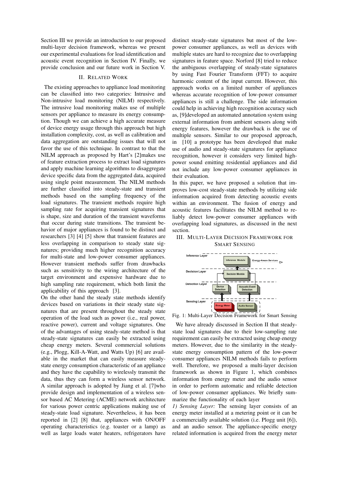Section III we provide an introduction to our proposed multi-layer decision framework, whereas we present our experimental evaluations for load identification and acoustic event recognition in Section IV. Finally, we provide conclusion and our future work in Section V.

#### II. RELATED WORK

The existing approaches to appliance load monitoring can be classified into two categories: Intrusive and Non-intrusive load monitoring (NILM) respectively. The intrusive load monitoring makes use of multiple sensors per appliance to measure its energy consumption. Though we can achieve a high accurate measure of device energy usage through this approach but high installation complexity, cost, as well as calibration and data aggregation are outstanding issues that will not favor the use of this technique. In contrast to that the NILM approach as proposed by Hart's [2]makes use of feature extraction process to extract load signatures and apply machine learning algorithms to disaggregate device specific data from the aggregated data, acquired using single point measurement. The NILM methods are further classified into steady-state and transient methods based on the sampling frequency of the load signatures. The transient methods require high sampling rate for acquiring transient signatures that is shape, size and duration of the transient waveforms that occur during state transitions. The transient behavior of major appliances is found to be distinct and researchers [3] [4] [5] show that transient features are less overlapping in comparison to steady state signatures; providing much higher recognition accuracy for multi-state and low-power consumer appliances. However transient methods suffer from drawbacks such as sensitivity to the wiring architecture of the target environment and expensive hardware due to high sampling rate requirement, which both limit the applicability of this approach [3].

On the other hand the steady state methods identify devices based on variations in their steady state signatures that are present throughout the steady state operation of the load such as power (i.e., real power, reactive power), current and voltage signatures. One of the advantages of using steady-state method is that steady-state signatures can easily be extracted using cheap energy meters. Several commercial solutions (e.g., Plogg, Kill-A-Watt, and Watts Up) [6] are available in the market that can easily measure steadystate energy consumption characteristic of an appliance and they have the capability to wirelessly transmit the data, thus they can form a wireless sensor network. A similar approach is adopted by Jiang et al. [7]who provide design and implementation of a wireless sensor based AC Metering (ACME) network architecture for various power centric applications making use of steady-state load signature. Nevertheless, it has been reported in [2] [8] that, appliances with ON/OFF operating characteristics (e.g. toaster or a lamp) as well as large loads water heaters, refrigerators have

distinct steady-state signatures but most of the lowpower consumer appliances, as well as devices with multiple states are hard to recognize due to overlapping signatures in feature space. Norford [8] tried to reduce the ambiguous overlapping of steady-state signatures by using Fast Fourier Transform (FFT) to acquire harmonic content of the input current. However, this approach works on a limited number of appliances whereas accurate recognition of low-power consumer appliances is still a challenge. The side information could help in achieving high recognition accuracy such as, [9]developed an automated annotation system using external information from ambient sensors along with energy features, however the drawback is the use of multiple sensors. Similar to our proposed approach, in [10] a prototype has been developed that make use of audio and steady-state signatures for appliance recognition, however it considers very limited highpower sound emitting residential appliances and did not include any low-power consumer appliances in their evaluation.

In this paper, we have proposed a solution that improves low-cost steady-state methods by utilizing side information acquired from detecting acoustic events within an environment. The fusion of energy and acoustic features facilitates the NILM method to reliably detect low-power consumer appliances with overlapping load signatures, as discussed in the next section.

### III. MULTI-LAYER DECISION FRAMEWORK FOR SMART SENSING



Fig. 1: Multi-Layer Decision Framework for Smart Sensing

We have already discussed in Section II that steadystate load signatures due to their low-sampling rate requirement can easily be extracted using cheap energy meters. However, due to the similarity in the steadystate energy consumption pattern of the low-power consumer appliances NILM methods fails to perform well. Therefore, we proposed a multi-layer decision framework as shown in Figure 1, which combines information from energy meter and the audio sensor in order to perform automatic and reliable detection of low-power consumer appliances. We briefly summarize the functionality of each layer

*1) Sensing Layer:* The sensing layer consists of an energy meter installed at a metering point or it can be a commercially available solution (i.e. Plogg unit [6]), and an audio sensor. The appliance-specific energy related information is acquired from the energy meter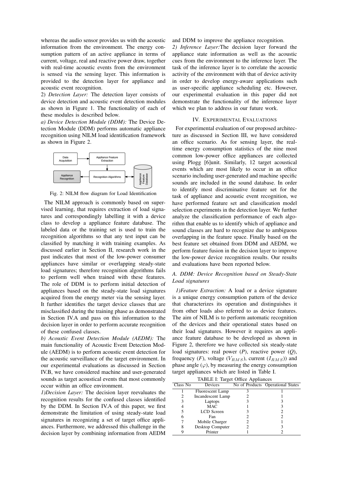whereas the audio sensor provides us with the acoustic information from the environment. The energy consumption pattern of an active appliance in terms of current, voltage, real and reactive power draw, together with real-time acoustic events from the environment is sensed via the sensing layer. This information is provided to the detection layer for appliance and acoustic event recognition.

2) *Detection Layer:* The detection layer consists of device detection and acoustic event detection modules as shown in Figure 1. The functionality of each of these modules is described below.

*a) Device Detection Module (DDM):* The Device Detection Module (DDM) performs automatic appliance recognition using NILM load identification framework as shown in Figure 2.



Fig. 2: NILM flow diagram for Load Identification

The NILM approach is commonly based on supervised learning, that requires extraction of load signatures and correspondingly labelling it with a device class to develop a appliance feature database. The labeled data or the training set is used to train the recognition algorithms so that any test input can be classified by matching it with training examples. As discussed earlier in Section II, research work in the past indicates that most of the low-power consumer appliances have similar or overlapping steady-state load signatures; therefore recognition algorithms fails to perform well when trained with these features. The role of DDM is to perform initial detection of appliances based on the steady-state load signatures acquired from the energy meter via the sensing layer. It further identifies the target device classes that are misclassified during the training phase as demonstrated in Section IV.A and pass on this information to the decision layer in order to perform accurate recognition of these confused classes.

*b) Acoustic Event Detection Module (AEDM):* The main functionality of Acoustic Event Detection Module (AEDM) is to perform acoustic event detection for the acoustic surveillance of the target environment. In our experimental evaluations as discussed in Section IV.B, we have considered machine and user-generated sounds as target acoustical events that most commonly occur within an office environment.

*1)Decision Layer:* The decision layer reevaluates the recognition results for the confused classes identified by the DDM. In Section IV.A of this paper, we first demonstrate the limitation of using steady-state load signatures in recognizing a set of target office appliances. Furthermore, we addressed this challenge in the decision layer by combining information from AEDM

## and DDM to improve the appliance recognition.

*2) Inference Layer:*The decision layer forward the appliance state information as well as the acoustic cues from the environment to the inference layer. The task of the inference layer is to correlate the acoustic activity of the environment with that of device activity in order to develop energy-aware applications such as user-specific appliance scheduling etc. However, our experimental evaluation in this paper did not demonstrate the functionality of the inference layer which we plan to address in our future work.

#### IV. EXPERIMENTAL EVALUATIONS

For experimental evaluation of our proposed architecture as discussed in Section III, we have considered an office scenario. As for sensing layer, the realtime energy consumption statistics of the nine most common low-power office appliances are collected using Plogg [6]unit. Similarly, 12 target acoustical events which are most likely to occur in an office scenario including user-generated and machine specific sounds are included in the sound database. In order to identify most discriminative feature set for the task of appliance and acoustic event recognition, we have performed feature set and classification model selection experiments in the detection layer. We further analyze the classification performance of each algorithm that enable us to identify which of appliance and sound classes are hard to recognize due to ambiguous overlapping in the feature space. Finally based on the best feature set obtained from DDM and AEDM, we perform feature fusion in the decision layer to improve the low-power device recognition results. Our results and evaluations have been reported below.

## *A. DDM: Device Recognition based on Steady-State Load signatures*

*1)Feature Extraction:* A load or a device signature is a unique energy consumption pattern of the device that characterizes its operation and distinguishes it from other loads also referred to as device features. The aim of NILM is to perform automatic recognition of the devices and their operational states based on their load signatures. However it requires an appliance feature database to be developed as shown in Figure 2, therefore we have collected six steady-state load signatures: real power (*P*), reactive power (*Q*), frequency (*F*), voltage ( $V_{RMS}$ ), current ( $I_{RMS}$ )) and phase angle  $(\varphi)$ , by measuring the energy consumption target appliances which are listed in Table I.

| TADLE I. Target Office Appliances |                   |  |                                   |  |  |
|-----------------------------------|-------------------|--|-----------------------------------|--|--|
| Class No                          | Devices           |  | No of Products Operational States |  |  |
|                                   | Fluorescent Lamp  |  |                                   |  |  |
|                                   | Incandescent Lamp |  |                                   |  |  |
| 3                                 | Laptops           |  |                                   |  |  |
|                                   | MAC               |  |                                   |  |  |
|                                   | <b>LCD</b> Screen |  |                                   |  |  |
| 6                                 | Fan               |  |                                   |  |  |
|                                   | Mobile Charger    |  |                                   |  |  |
| 8                                 | Desktop Computer  |  |                                   |  |  |
|                                   | Printer           |  |                                   |  |  |
|                                   |                   |  |                                   |  |  |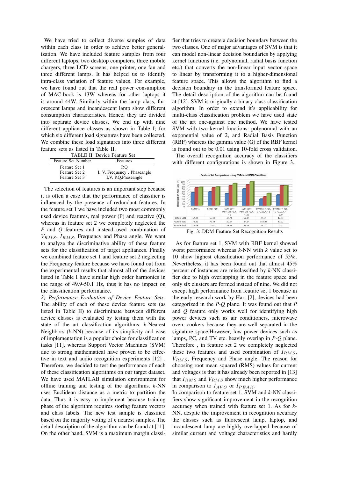We have tried to collect diverse samples of data within each class in order to achieve better generalization. We have included feature samples from four different laptops, two desktop computers, three mobile chargers, three LCD screens, one printer, one fan and three different lamps. It has helped us to identify intra-class variation of feature values. For example, we have found out that the real power consumption of MAC-book is 13W whereas for other laptops it is around 44W. Similarly within the lamp class, fluorescent lamps and incandescent lamp show different consumption characteristics. Hence, they are divided into separate device classes. We end up with nine different appliance classes as shown in Table I; for which six different load signatures have been collected. We combine these load signatures into three different feature sets as listed in Table II.

| TABLE II: Device Feature Set |  |
|------------------------------|--|
|------------------------------|--|

| <b>Feature Set Number</b> | Features                    |
|---------------------------|-----------------------------|
| Feature Set 1             | P.O                         |
| Feature Set 2             | I, V, Frequency, Phaseangle |
| Feature Set 3             | I, V, P, Q, Phase angle     |

The selection of features is an important step because it is often a case that the performance of classifier is influenced by the presence of redundant features. In the feature set 1 we have included two most commonly used device features, real power (P) and reactive (Q), whereas in feature set 2 we completely neglected the *P* and *Q* features and instead used combination of  $V_{RMS}$ ,  $I_{RMS}$ , Frequency and Phase angle. We want to analyze the discriminative ability of these feature sets for the classification of target appliances. Finally we combined feature set 1 and feature set 2 neglecting the Frequency feature because we have found out from the experimental results that almost all of the devices listed in Table I have similar high order harmonics in the range of 49.9-50.1 Hz, thus it has no impact on the classification performance.

*2) Performance Evaluation of Device Feature Sets:* The ability of each of these device feature sets (as listed in Table II) to discriminate between different device classes is evaluated by testing them with the state of the art classification algorithms. *k*-Nearest Neighbors (*k*-NN) because of its simplicity and ease of implementation is a popular choice for classification tasks [11], whereas Support Vector Machines (SVM) due to strong mathematical have proven to be effective in text and audio recognition experiments [12] . Therefore, we decided to test the performance of each of these classification algorithms on our target dataset. We have used MATLAB simulation environment for offline training and testing of the algorithms. *k*-NN uses Euclidean distance as a metric to partition the data. Thus it is easy to implement because training phase of the algorithm requires storing feature vectors and class labels. The new test sample is classified based on the majority voting of *k* nearest samples. The detail description of the algorithm can be found at [11]. On the other hand, SVM is a maximum margin classifier that tries to create a decision boundary between the two classes. One of major advantages of SVM is that it can model non-linear decision boundaries by applying kernel functions (i.e. polynomial, radial basis function etc.) that converts the non-linear input vector space to linear by transforming it to a higher-dimensional feature space. This allows the algorithm to find a decision boundary in the transformed feature space. The detail description of the algorithm can be found at [12]. SVM is originally a binary class classification algorithm. In order to extend it's applicability for multi-class classification problem we have used state of the art one-against one method. We have tested SVM with two kernel functions: polynomial with an exponential value of 2, and Radial Basis Function (RBF) whereas the gamma value (G) of the RBF kernel is found out to be 0.01 using 10-fold cross validation.

The overall recognition accuracy of the classifiers with different configurations is shown in Figure 3.



As for feature set 1, SVM with RBF kernel showed worst performance whereas *k*-NN with *k* value set to 10 show highest classification performance of 55%. Nevertheless, it has been found out that almost 45% percent of instances are misclassified by *k*-NN classifier due to high overlapping in the feature space and only six clusters are formed instead of nine. We did not except high performance from feature set 1 because in the early research work by Hart [2], devices had been categorized in the *P-Q* plane. It was found out that *P* and *Q* feature only works well for identifying high power devices such as air conditioners, microwave oven, cookers because they are well separated in the signature space.However, low power devices such as lamps, PC, and TV etc. heavily overlap in *P-Q* plane. Therefore , in feature set 2 we completely neglected these two features and used combination of  $I_{RMS}$ ,  $V_{RMS}$ , Frequency and Phase angle. The reason for choosing root mean squared (RMS) values for current and voltages is that it has already been reported in [13] that  $I_{RMS}$  and  $V_{RMS}$  show much higher performance in comparison to  $I_{AVG}$  or  $I_{PEAK}$ .

In comparison to feature set 1, SVM and *k*-NN classifiers show significant improvement in the recognition accuracy when trained with feature set 1. As for *k*-NN, despite the improvement in recognition accuracy the classes such as fluorescent lamp, laptop, and incandescent lamp are highly overlapped because of similar current and voltage characteristics and hardly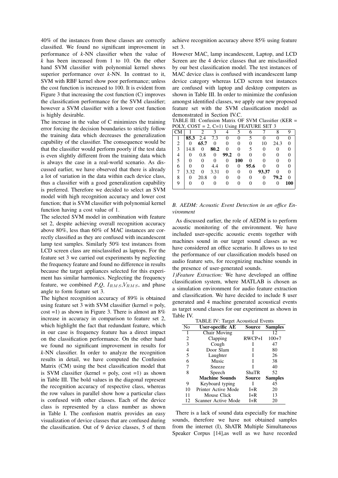40% of the instances from these classes are correctly classified. We found no significant improvement in performance of *k*-NN classifier when the value of *k* has been increased from 1 to 10. On the other hand SVM classifier with polynomial kernel shows superior performance over *k*-NN. In contrast to it, SVM with RBF kernel show poor performance; unless the cost function is increased to 100. It is evident from Figure 3 that increasing the cost function (C) improves the classification performance for the SVM classifier; however a SVM classifier with a lower cost function is highly desirable.

The increase in the value of C minimizes the training error forcing the decision boundaries to strictly follow the training data which decreases the generalization capability of the classifier. The consequence would be that the classifier would perform poorly if the test data is even slightly different from the training data which is always the case in a real-world scenario. As discussed earlier, we have observed that there is already a lot of variation in the data within each device class, thus a classifier with a good generalization capability is preferred. Therefore we decided to select an SVM model with high recognition accuracy and lower cost function; that is SVM classifier with polynomial kernel function having a cost value of 1.

The selected SVM model in combination with feature set 2, despite achieving overall recognition accuracy above 80%, less than 60% of MAC instances are correctly classified as they are confused with incandescent lamp test samples. Similarly 50% test instances from LCD screen class are misclassified as laptops. For the feature set 3 we carried out experiments by neglecting the frequency feature and found no difference in results because the target appliances selected for this experiment has similar harmonics. Neglecting the frequency feature, we combined  $P,Q$ ,  $I_{RMS}$ ,  $V_{RMS}$ , and phase angle to form feature set 3.

The highest recognition accuracy of 89% is obtained using feature set 3 with SVM classifier (kernel = poly,  $cost = 1$ ) as shown in Figure 3. There is almost an  $8\%$ increase in accuracy in comparison to feature set 2, which highlight the fact that redundant feature, which in our case is frequency feature has a direct impact on the classification performance. On the other hand we found no significant improvement in results for *k*-NN classifier. In order to analyze the recognition results in detail, we have computed the Confusion Matrix (CM) using the best classification model that is SVM classifier (kernel = poly, cost =1) as shown in Table III. The bold values in the diagonal represent the recognition accuracy of respective class, whereas the row values in parallel show how a particular class is confused with other classes. Each of the device class is represented by a class number as shown in Table I. The confusion matrix provides an easy visualization of device classes that are confused during the classification. Out of 9 device classes, 5 of them

achieve recognition accuracy above 85% using feature set 3.

However MAC, lamp incandescent, Laptop, and LCD Screen are the 4 device classes that are misclassified by our best classification model. The test instances of MAC device class is confused with incandescent lamp device category whereas LCD screen test instances are confused with laptop and desktop computers as shown in Table III. In order to minimize the confusion amongst identified classes, we apply our new proposed feature set with the SVM classification model as demonstrated in Section IV.C.

TABLE III: Confusion Matrix OF SVM Classifier (KER = POLY,  $COST = 2$ ,  $C=1$ ) Using FEATURE SET 3

| CМ             |      | 2        | 3        |          | --0<br>5 |          |       | 8        | 9   |
|----------------|------|----------|----------|----------|----------|----------|-------|----------|-----|
|                | 85.3 | 2.4      | 7.3      | $\theta$ | $\theta$ |          |       |          |     |
| $\overline{2}$ | 0    | 65.7     | $\theta$ | 0        | 0        |          | 10    | 24.3     |     |
| 3              | 14.8 | 0        | 80.2     | 0        | 0        | 5        | 0     | 0        | 0   |
| 4              | 0    | 0.8      | 0        | 99.2     | 0        |          |       | 0        |     |
| 5              | 0    | $\Omega$ | 0        | 0        | 100      | 0        | 0     | 0        |     |
| 6              | 0    | 0        | 4.4      | 0        | 0        | 95.6     | 0     | 0        |     |
| 7              | 3.32 | $\Omega$ | 3.31     | 0        | 0        | 0        | 93.37 | $\theta$ |     |
| 8              | 0    | 20.8     | $\theta$ | 0        | 0        | 0        | 0     | 79.2     |     |
| 9              | 0    | $_{0}$   | 0        | 0        | $\theta$ | $\theta$ | 0     | 0        | 100 |
|                |      |          |          |          |          |          |       |          |     |

### *B. AEDM: Acoustic Event Detection in an office Environment*

As discussed earlier, the role of AEDM is to perform acoustic monitoring of the environment. We have included user-specific acoustic events together with machines sound in our target sound classes as we have considered an office scenario. It allows us to test the performance of our classification models based on audio feature sets, for recognizing machine sounds in the presence of user-generated sounds.

*1)Feature Extraction:* We have developed an offline classification system, where MATLAB is chosen as a simulation environment for audio feature extraction and classification. We have decided to include 8 user generated and 4 machine generated acoustical events as target sound classes for our experiment as shown in Table IV.

TABLE IV: Target Acoustical Events

| N <sub>0</sub> | User-specific AE      | Source   | <b>Samples</b> |
|----------------|-----------------------|----------|----------------|
|                | Chair Moving          |          | 12             |
| 2              | Clapping              | $RWCP+I$ | $100 + 7$      |
| 3              | Cough                 |          | 47             |
| 4              | Door Slam             |          | 80             |
| 5              | Laughter              | I        | 26             |
| 6              | Music                 | I        | 38             |
| 7              | Sneeze                |          | 40             |
| 8              | Speech                | ShaTR    | 52             |
|                | <b>Machine Sounds</b> | Source   | <b>Samples</b> |
| 9              | Keyboard typing       | I        | 45             |
| 10             | Printer Active Mode   | $I+R$    | 20             |
| 11             | Mouse Click           | I+R      | 13             |
| 12             | Scanner Active Mode   | $I+R$    | 20             |

There is a lack of sound data especially for machine sounds, therefore we have not obtained samples from the internet (I), ShATR Multiple Simultaneous Speaker Corpus [14],as well as we have recorded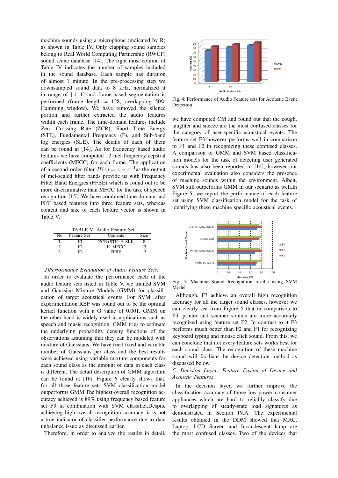machine sounds using a microphone (indicated by R) as shown in Table IV. Only clapping sound samples belong to Real World Computing Partnership (RWCP) sound scene database [14]. The right most column of Table IV indicates the number of samples included in the sound database. Each sample has duration of almost 1 minute. In the pre-processing step we downsampled sound data to 8 kHz, normalized it in range of [-1 1] and frame-based segmentation is performed (frame length = 128, overlapping 50% Hamming window). We have removed the silence portion and further extracted the audio features within each frame. The time-domain features include Zero Crossing Rate (ZCR), Short Time Energy (STE), Fundamental Frequency (F), and Sub-band log energies (SLE). The details of each of them can be found at [14]. As for frequency based audio features we have computed 12 mel-frequency cepstral coefficients (MFCC) for each frame. The application of a second order filter  $H(z) = z - z^{-1}$ at the output of mel-scaled filter bands provide us with Frequency Filter Band Energies (FFBE) which is found out to be more discriminative than MFCC for the task of speech recognition [15]. We have combined time-domain and FFT based features into three feature sets, whereas content and size of each feature vector is shown in Table V.

TABLE V: Audio Feature Set No Feature Set Contents Size 1 F1 ZCR+STE+F+SLE 8<br>2 F2 E+MFCC 13 2 F2 E+MFCC 13<br>3 F3 FFBE 13 3 F3 FFBE 13

*2)Performance Evaluation of Audio Feature Sets:*

In order to evaluate the performance each of the audio feature sets listed in Table V, we trained SVM and Gaussian Mixture Models (GMM) for classification of target acoustical events. For SVM, after experimentation RBF was found out to be the optimal kernel function with a G value of 0.001. GMM on the other hand is widely used in applications such as speech and music recognition. GMM tries to estimate the underlying probability density functions of the observations assuming that they can be modeled with mixture of Gaussians. We have tried fixed and variable number of Gaussians per class and the best results were achieved using variable mixture components for each sound class as the amount of data in each class is different. The detail description of GMM algorithm can be found at [16]. Figure 6 clearly shows that, for all three feature sets SVM classification model outperforms GMM.The highest overall recognition accuracy achieved is 89% using frequency based feature set F3 in combination with SVM classifier.Despite achieving high overall recognition accuracy, it is not a true indicator of classifier performance due to data unbalance issue as discussed earlier.

Therefore, in order to analyze the results in detail,



Fig. 4: Performance of Audio Feature sets for Acoustic Event Detection

we have computed CM and found out that the cough, laughter and sneeze are the most confused classes for the category of user-specific acoustical events. The feature set F3 however performs well in comparison to F1 and F2 in recognizing these confused classes. A comparison of GMM and SVM based classification models for the task of detecting user generated sounds has also been reported in [14], however our experimental evaluation also considers the presence of machine sounds within the environment. Albeit, SVM still outpeforms GMM in our scenario as well.In Figure 5, we report the performance of each feature set using SVM classification model for the task of identifying these machine specific acoustical events.



Fig. 5: Machine Sound Recognition results using SVM Model

Although, F3 achieve an overall high recognition accuracy for all the target sound classes, however we can clearly see from Figure 5 that in comparison to F3, printer and scanner sounds are more accurately recognized using feature set F2. In contrast to it F3 performs much better than F2 and F1 for recognizing keyboard typing and mouse click sound. From this, we can conclude that not every feature sets works best for each sound class. The recognition of these machine sound will faciliate the device detection method as discussed below.

# *C. Decision Layer: Feature Fusion of Device and Acoustic Features*

In the decision layer, we further improve the classification accuracy of those low-power consumer appliances which are hard to reliably classify due to overlapping of steady-state load signatures as demonstrated in Section IV.A. The experimental results obtained in the DDM showed that MAC, Laptop, LCD Screen and Incandescent lamp are the most confused classes. Two of the devices that